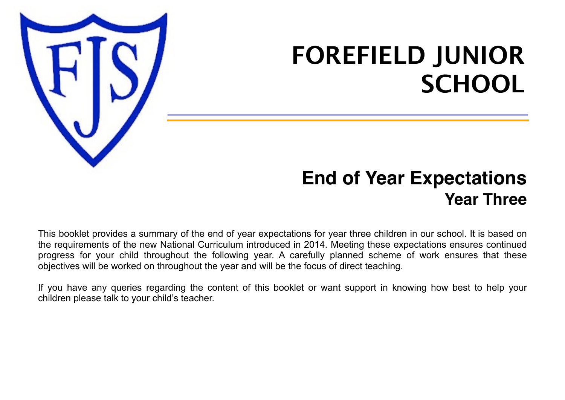

# **FOREFIELD JUNIOR SCHOOL**

## **End of Year Expectations Year Three**

This booklet provides a summary of the end of year expectations for year three children in our school. It is based on the requirements of the new National Curriculum introduced in 2014. Meeting these expectations ensures continued progress for your child throughout the following year. A carefully planned scheme of work ensures that these objectives will be worked on throughout the year and will be the focus of direct teaching.

If you have any queries regarding the content of this booklet or want support in knowing how best to help your children please talk to your child's teacher.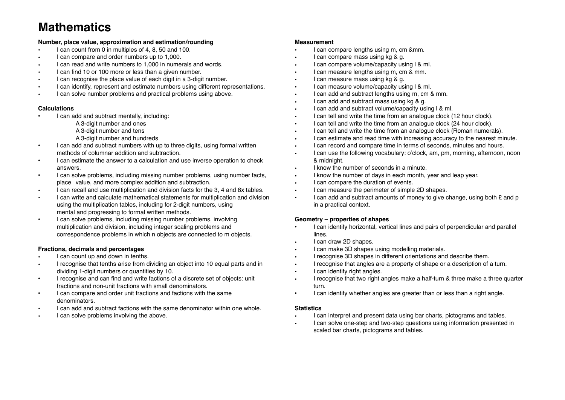### **Mathematics**

#### **Number, place value, approximation and estimation/rounding**

- I can count from 0 in multiples of 4, 8, 50 and 100.
- I can compare and order numbers up to 1,000.
- I can read and write numbers to 1,000 in numerals and words.
- I can find 10 or 100 more or less than a given number.
- I can recognise the place value of each digit in a 3-digit number.
- I can identify, represent and estimate numbers using different representations.
- I can solve number problems and practical problems using above.

#### **Calculations**

- I can add and subtract mentally, including:
	- A 3-digit number and ones
	- A 3-digit number and tens
	- A 3-digit number and hundreds
- I can add and subtract numbers with up to three digits, using formal written methods of columnar addition and subtraction.
- I can estimate the answer to a calculation and use inverse operation to check answers.
- I can solve problems, including missing number problems, using number facts, place value, and more complex addition and subtraction.
- I can recall and use multiplication and division facts for the 3, 4 and 8x tables.
- I can write and calculate mathematical statements for multiplication and division using the multiplication tables, including for 2-digit numbers, using mental and progressing to formal written methods.
- I can solve problems, including missing number problems, involving multiplication and division, including integer scaling problems and correspondence problems in which n objects are connected to m objects.

#### **Fractions, decimals and percentages**

- I can count up and down in tenths.
- I recognise that tenths arise from dividing an object into 10 equal parts and in dividing 1-digit numbers or quantities by 10.
- I recognise and can find and write factions of a discrete set of objects: unit fractions and non-unit fractions with small denominators.
- I can compare and order unit fractions and factions with the same denominators.
- I can add and subtract factions with the same denominator within one whole.
- I can solve problems involving the above.

#### **Measurement**

- I can compare lengths using m, cm &mm.
- I can compare mass using kg & g.
- I can compare volume/capacity using l & ml.
- I can measure lengths using m, cm & mm.
- I can measure mass using kg & g.
- I can measure volume/capacity using l & ml.
- I can add and subtract lengths using m, cm & mm.
- I can add and subtract mass using kg & g.
- I can add and subtract volume/capacity using l & ml.
- I can tell and write the time from an analogue clock (12 hour clock).
- I can tell and write the time from an analogue clock (24 hour clock).
- I can tell and write the time from an analogue clock (Roman numerals).
- I can estimate and read time with increasing accuracy to the nearest minute.
- I can record and compare time in terms of seconds, minutes and hours.
- I can use the following vocabulary: o'clock, am, pm, morning, afternoon, noon & midnight.
- I know the number of seconds in a minute.
- I know the number of days in each month, year and leap year.
- I can compare the duration of events.
- I can measure the perimeter of simple 2D shapes.
- I can add and subtract amounts of money to give change, using both  $E$  and p in a practical context.

#### **Geometry – properties of shapes**

- I can identify horizontal, vertical lines and pairs of perpendicular and parallel lines.
- I can draw 2D shapes.
- I can make 3D shapes using modelling materials.
- I recognise 3D shapes in different orientations and describe them.
- I recognise that angles are a property of shape or a description of a turn.
- I can identify right angles.
- I recognise that two right angles make a half-turn & three make a three quarter turn.
- I can identify whether angles are greater than or less than a right angle.

#### **Statistics**

- I can interpret and present data using bar charts, pictograms and tables.
- I can solve one-step and two-step questions using information presented in scaled bar charts, pictograms and tables.